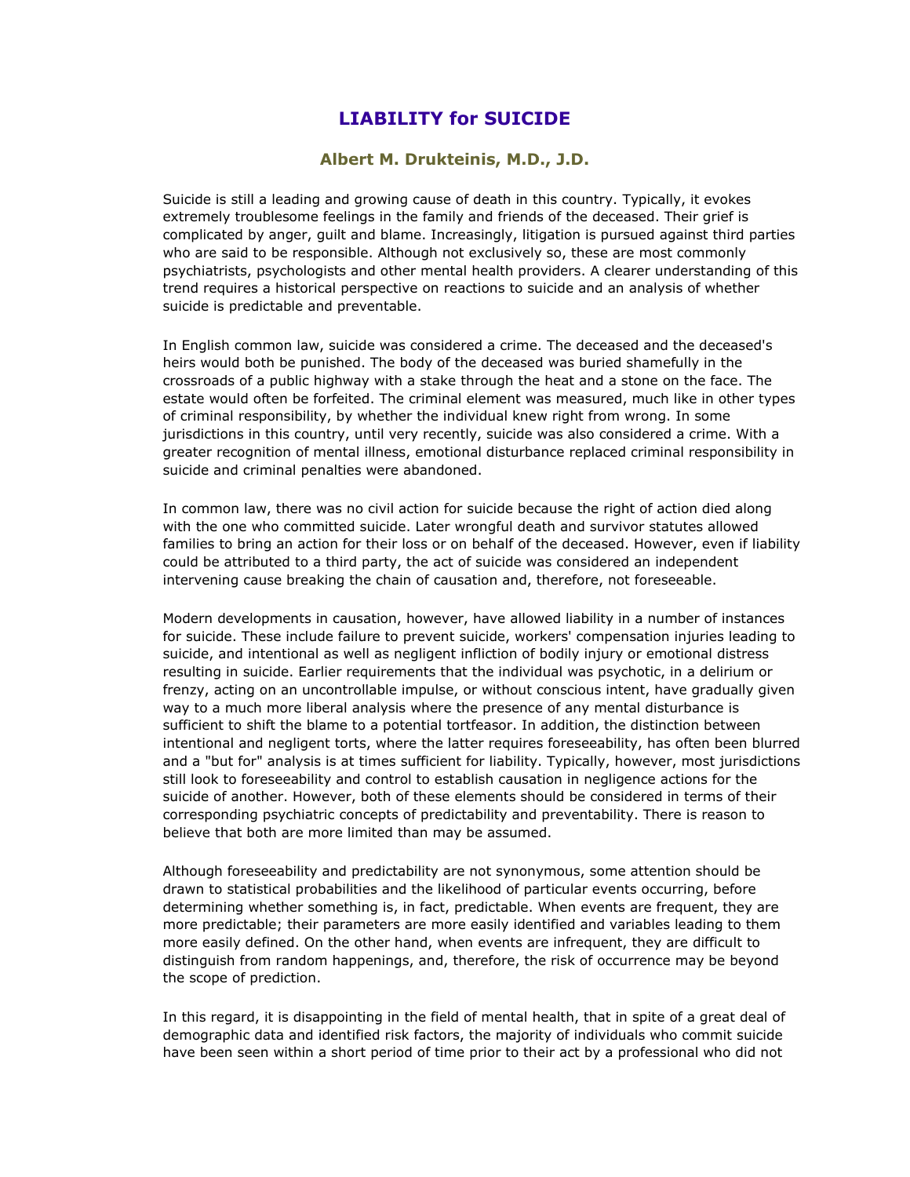## **LIABILITY for SUICIDE**

## **Albert M. Drukteinis, M.D., J.D.**

Suicide is still a leading and growing cause of death in this country. Typically, it evokes extremely troublesome feelings in the family and friends of the deceased. Their grief is complicated by anger, guilt and blame. Increasingly, litigation is pursued against third parties who are said to be responsible. Although not exclusively so, these are most commonly psychiatrists, psychologists and other mental health providers. A clearer understanding of this trend requires a historical perspective on reactions to suicide and an analysis of whether suicide is predictable and preventable.

In English common law, suicide was considered a crime. The deceased and the deceased's heirs would both be punished. The body of the deceased was buried shamefully in the crossroads of a public highway with a stake through the heat and a stone on the face. The estate would often be forfeited. The criminal element was measured, much like in other types of criminal responsibility, by whether the individual knew right from wrong. In some jurisdictions in this country, until very recently, suicide was also considered a crime. With a greater recognition of mental illness, emotional disturbance replaced criminal responsibility in suicide and criminal penalties were abandoned.

In common law, there was no civil action for suicide because the right of action died along with the one who committed suicide. Later wrongful death and survivor statutes allowed families to bring an action for their loss or on behalf of the deceased. However, even if liability could be attributed to a third party, the act of suicide was considered an independent intervening cause breaking the chain of causation and, therefore, not foreseeable.

Modern developments in causation, however, have allowed liability in a number of instances for suicide. These include failure to prevent suicide, workers' compensation injuries leading to suicide, and intentional as well as negligent infliction of bodily injury or emotional distress resulting in suicide. Earlier requirements that the individual was psychotic, in a delirium or frenzy, acting on an uncontrollable impulse, or without conscious intent, have gradually given way to a much more liberal analysis where the presence of any mental disturbance is sufficient to shift the blame to a potential tortfeasor. In addition, the distinction between intentional and negligent torts, where the latter requires foreseeability, has often been blurred and a "but for" analysis is at times sufficient for liability. Typically, however, most jurisdictions still look to foreseeability and control to establish causation in negligence actions for the suicide of another. However, both of these elements should be considered in terms of their corresponding psychiatric concepts of predictability and preventability. There is reason to believe that both are more limited than may be assumed.

Although foreseeability and predictability are not synonymous, some attention should be drawn to statistical probabilities and the likelihood of particular events occurring, before determining whether something is, in fact, predictable. When events are frequent, they are more predictable; their parameters are more easily identified and variables leading to them more easily defined. On the other hand, when events are infrequent, they are difficult to distinguish from random happenings, and, therefore, the risk of occurrence may be beyond the scope of prediction.

In this regard, it is disappointing in the field of mental health, that in spite of a great deal of demographic data and identified risk factors, the majority of individuals who commit suicide have been seen within a short period of time prior to their act by a professional who did not